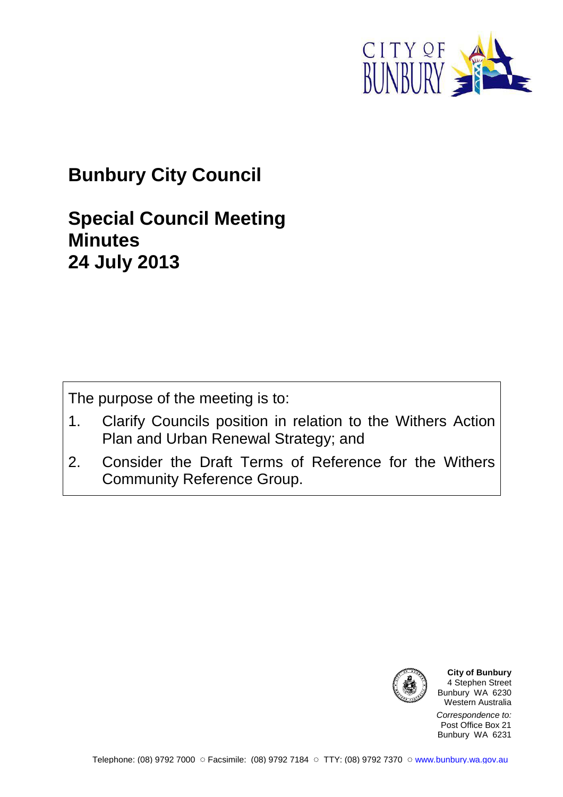

# **Bunbury City Council**

## **Special Council Meeting Minutes 24 July 2013**

The purpose of the meeting is to:

- 1. Clarify Councils position in relation to the Withers Action Plan and Urban Renewal Strategy; and
- 2. Consider the Draft Terms of Reference for the Withers Community Reference Group.



**City of Bunbury** 4 Stephen Street Bunbury WA 6230 Western Australia

Correspondence to: Post Office Box 21 Bunbury WA 6231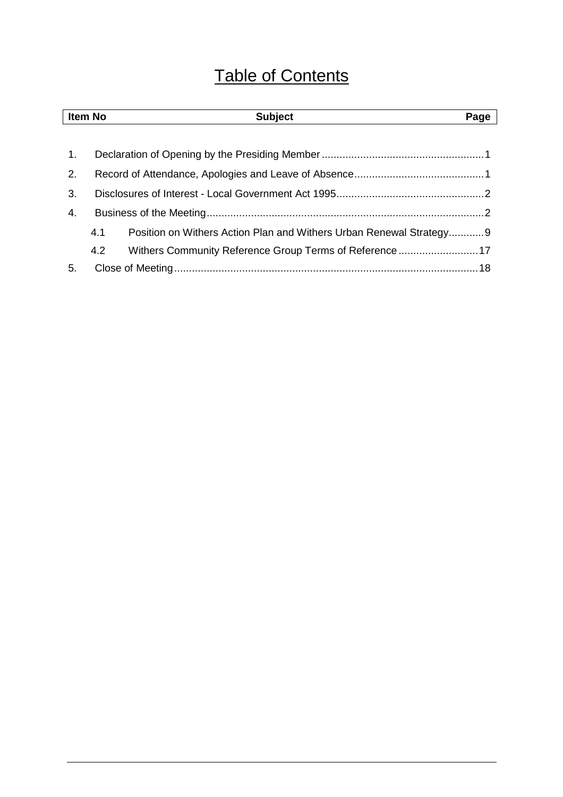# Table of Contents

| <b>Item No</b> |     | <b>Subject</b>                                                      | Page |
|----------------|-----|---------------------------------------------------------------------|------|
|                |     |                                                                     |      |
| 1.             |     |                                                                     |      |
| 2.             |     |                                                                     |      |
| 3.             |     |                                                                     |      |
| 4.             |     |                                                                     |      |
|                | 4.1 | Position on Withers Action Plan and Withers Urban Renewal Strategy9 |      |
|                | 4.2 | Withers Community Reference Group Terms of Reference17              |      |
| 5.             |     |                                                                     |      |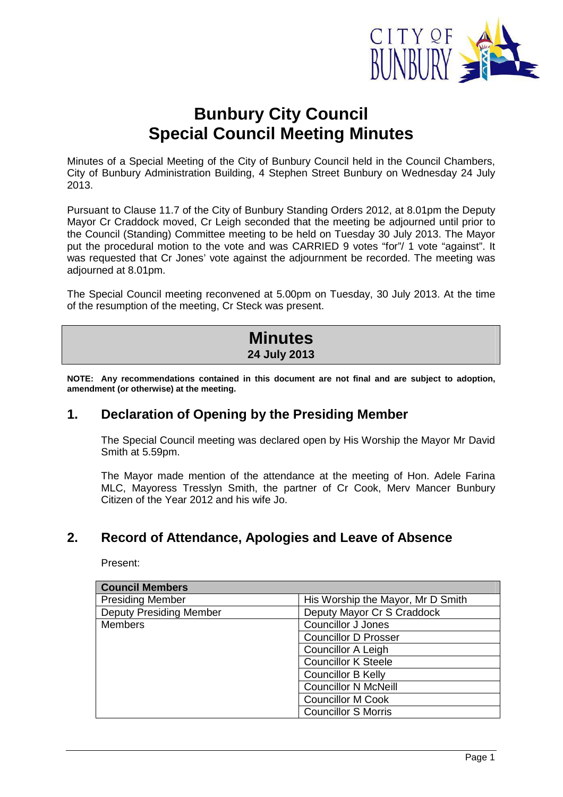

## **Bunbury City Council Special Council Meeting Minutes**

Minutes of a Special Meeting of the City of Bunbury Council held in the Council Chambers, City of Bunbury Administration Building, 4 Stephen Street Bunbury on Wednesday 24 July 2013.

Pursuant to Clause 11.7 of the City of Bunbury Standing Orders 2012, at 8.01pm the Deputy Mayor Cr Craddock moved, Cr Leigh seconded that the meeting be adjourned until prior to the Council (Standing) Committee meeting to be held on Tuesday 30 July 2013. The Mayor put the procedural motion to the vote and was CARRIED 9 votes "for"/ 1 vote "against". It was requested that Cr Jones' vote against the adjournment be recorded. The meeting was adjourned at 8.01pm.

The Special Council meeting reconvened at 5.00pm on Tuesday, 30 July 2013. At the time of the resumption of the meeting, Cr Steck was present.

| <b>Minutes</b> |  |
|----------------|--|
| 24 July 2013   |  |

**NOTE: Any recommendations contained in this document are not final and are subject to adoption, amendment (or otherwise) at the meeting.** 

## **1. Declaration of Opening by the Presiding Member**

The Special Council meeting was declared open by His Worship the Mayor Mr David Smith at 5.59pm.

The Mayor made mention of the attendance at the meeting of Hon. Adele Farina MLC, Mayoress Tresslyn Smith, the partner of Cr Cook, Merv Mancer Bunbury Citizen of the Year 2012 and his wife Jo.

## **2. Record of Attendance, Apologies and Leave of Absence**

Present:

| <b>Council Members</b>         |                                   |  |
|--------------------------------|-----------------------------------|--|
| <b>Presiding Member</b>        | His Worship the Mayor, Mr D Smith |  |
| <b>Deputy Presiding Member</b> | Deputy Mayor Cr S Craddock        |  |
| <b>Members</b>                 | <b>Councillor J Jones</b>         |  |
|                                | <b>Councillor D Prosser</b>       |  |
|                                | Councillor A Leigh                |  |
|                                | <b>Councillor K Steele</b>        |  |
|                                | <b>Councillor B Kelly</b>         |  |
|                                | <b>Councillor N McNeill</b>       |  |
|                                | <b>Councillor M Cook</b>          |  |
|                                | <b>Councillor S Morris</b>        |  |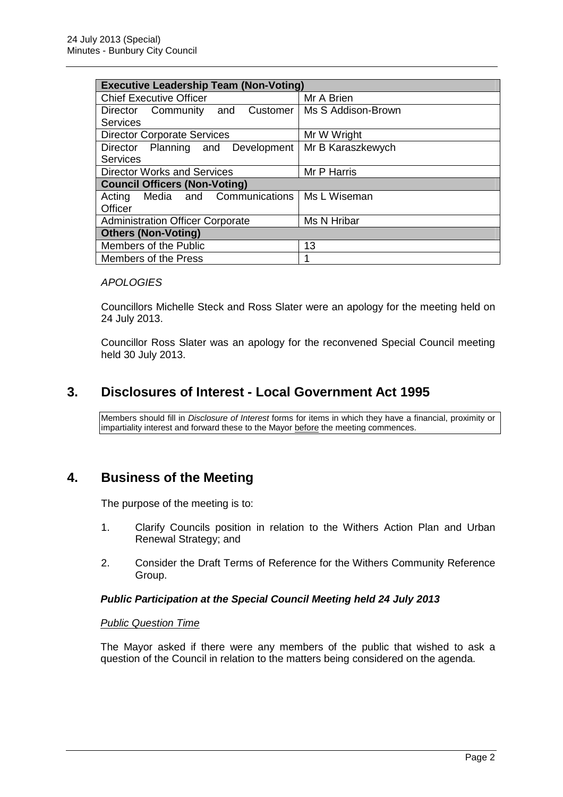| <b>Executive Leadership Team (Non-Voting)</b> |                    |  |
|-----------------------------------------------|--------------------|--|
| <b>Chief Executive Officer</b>                | Mr A Brien         |  |
| Customer<br>Director Community<br>and         | Ms S Addison-Brown |  |
| <b>Services</b>                               |                    |  |
| <b>Director Corporate Services</b>            | Mr W Wright        |  |
| Director Planning and Development             | Mr B Karaszkewych  |  |
| <b>Services</b>                               |                    |  |
| <b>Director Works and Services</b>            | Mr P Harris        |  |
| <b>Council Officers (Non-Voting)</b>          |                    |  |
| Media and Communications<br>Acting            | Ms L Wiseman       |  |
| Officer                                       |                    |  |
| <b>Administration Officer Corporate</b>       | Ms N Hribar        |  |
| <b>Others (Non-Voting)</b>                    |                    |  |
| Members of the Public                         | 13                 |  |
| Members of the Press                          | 1                  |  |

#### **APOLOGIES**

Councillors Michelle Steck and Ross Slater were an apology for the meeting held on 24 July 2013.

Councillor Ross Slater was an apology for the reconvened Special Council meeting held 30 July 2013.

## **3. Disclosures of Interest - Local Government Act 1995**

Members should fill in Disclosure of Interest forms for items in which they have a financial, proximity or impartiality interest and forward these to the Mayor before the meeting commences.

## **4. Business of the Meeting**

The purpose of the meeting is to:

- 1. Clarify Councils position in relation to the Withers Action Plan and Urban Renewal Strategy; and
- 2. Consider the Draft Terms of Reference for the Withers Community Reference Group.

#### **Public Participation at the Special Council Meeting held 24 July 2013**

#### Public Question Time

The Mayor asked if there were any members of the public that wished to ask a question of the Council in relation to the matters being considered on the agenda.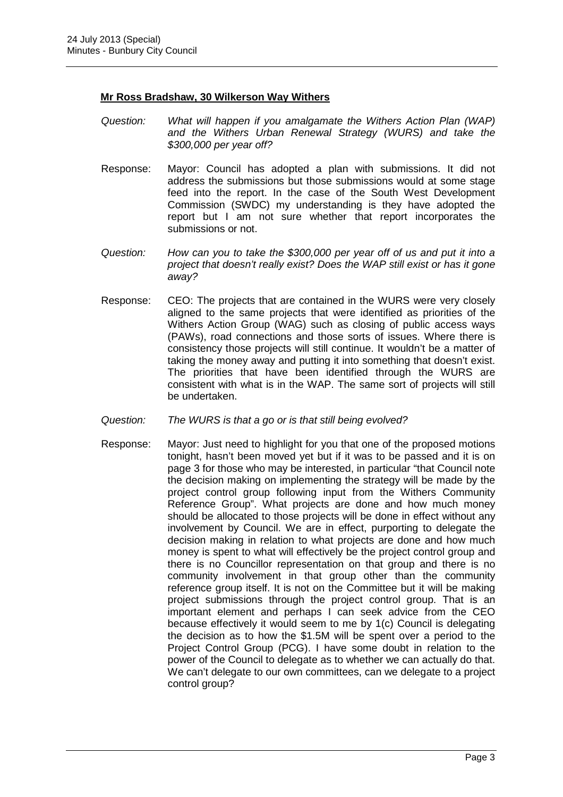#### **Mr Ross Bradshaw, 30 Wilkerson Way Withers**

- Question: What will happen if you amalgamate the Withers Action Plan (WAP) and the Withers Urban Renewal Strategy (WURS) and take the \$300,000 per year off?
- Response: Mayor: Council has adopted a plan with submissions. It did not address the submissions but those submissions would at some stage feed into the report. In the case of the South West Development Commission (SWDC) my understanding is they have adopted the report but I am not sure whether that report incorporates the submissions or not.
- Question: How can you to take the \$300,000 per year off of us and put it into a project that doesn't really exist? Does the WAP still exist or has it gone away?
- Response: CEO: The projects that are contained in the WURS were very closely aligned to the same projects that were identified as priorities of the Withers Action Group (WAG) such as closing of public access ways (PAWs), road connections and those sorts of issues. Where there is consistency those projects will still continue. It wouldn't be a matter of taking the money away and putting it into something that doesn't exist. The priorities that have been identified through the WURS are consistent with what is in the WAP. The same sort of projects will still be undertaken.
- Question: The WURS is that a go or is that still being evolved?
- Response: Mayor: Just need to highlight for you that one of the proposed motions tonight, hasn't been moved yet but if it was to be passed and it is on page 3 for those who may be interested, in particular "that Council note the decision making on implementing the strategy will be made by the project control group following input from the Withers Community Reference Group". What projects are done and how much money should be allocated to those projects will be done in effect without any involvement by Council. We are in effect, purporting to delegate the decision making in relation to what projects are done and how much money is spent to what will effectively be the project control group and there is no Councillor representation on that group and there is no community involvement in that group other than the community reference group itself. It is not on the Committee but it will be making project submissions through the project control group. That is an important element and perhaps I can seek advice from the CEO because effectively it would seem to me by 1(c) Council is delegating the decision as to how the \$1.5M will be spent over a period to the Project Control Group (PCG). I have some doubt in relation to the power of the Council to delegate as to whether we can actually do that. We can't delegate to our own committees, can we delegate to a project control group?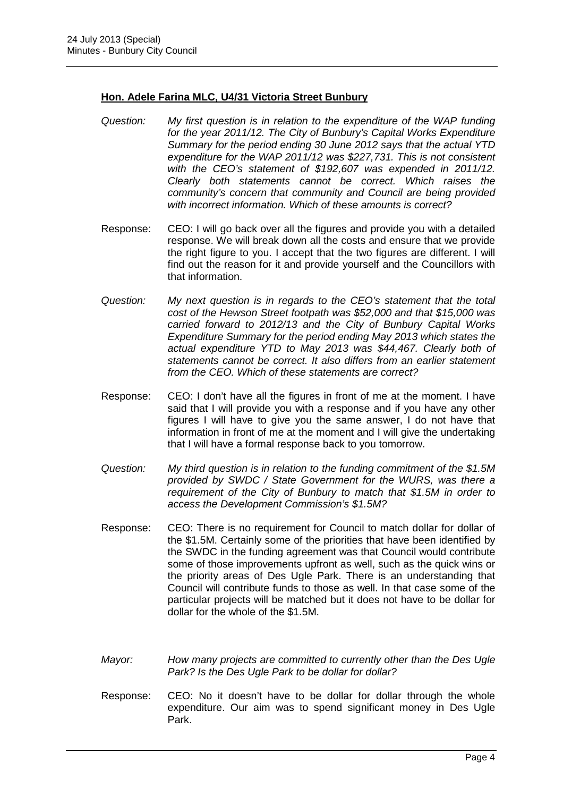#### **Hon. Adele Farina MLC, U4/31 Victoria Street Bunbury**

- Question: My first question is in relation to the expenditure of the WAP funding for the year 2011/12. The City of Bunbury's Capital Works Expenditure Summary for the period ending 30 June 2012 says that the actual YTD expenditure for the WAP 2011/12 was \$227,731. This is not consistent with the CEO's statement of \$192,607 was expended in 2011/12. Clearly both statements cannot be correct. Which raises the community's concern that community and Council are being provided with incorrect information. Which of these amounts is correct?
- Response: CEO: I will go back over all the figures and provide you with a detailed response. We will break down all the costs and ensure that we provide the right figure to you. I accept that the two figures are different. I will find out the reason for it and provide yourself and the Councillors with that information.
- Question: My next question is in regards to the CEO's statement that the total cost of the Hewson Street footpath was \$52,000 and that \$15,000 was carried forward to 2012/13 and the City of Bunbury Capital Works Expenditure Summary for the period ending May 2013 which states the actual expenditure YTD to May 2013 was \$44,467. Clearly both of statements cannot be correct. It also differs from an earlier statement from the CEO. Which of these statements are correct?
- Response: CEO: I don't have all the figures in front of me at the moment. I have said that I will provide you with a response and if you have any other figures I will have to give you the same answer, I do not have that information in front of me at the moment and I will give the undertaking that I will have a formal response back to you tomorrow.
- Question: My third question is in relation to the funding commitment of the \$1.5M provided by SWDC / State Government for the WURS, was there a requirement of the City of Bunbury to match that \$1.5M in order to access the Development Commission's \$1.5M?
- Response: CEO: There is no requirement for Council to match dollar for dollar of the \$1.5M. Certainly some of the priorities that have been identified by the SWDC in the funding agreement was that Council would contribute some of those improvements upfront as well, such as the quick wins or the priority areas of Des Ugle Park. There is an understanding that Council will contribute funds to those as well. In that case some of the particular projects will be matched but it does not have to be dollar for dollar for the whole of the \$1.5M.
- Mayor: How many projects are committed to currently other than the Des Ugle Park? Is the Des Ugle Park to be dollar for dollar?
- Response: CEO: No it doesn't have to be dollar for dollar through the whole expenditure. Our aim was to spend significant money in Des Ugle Park.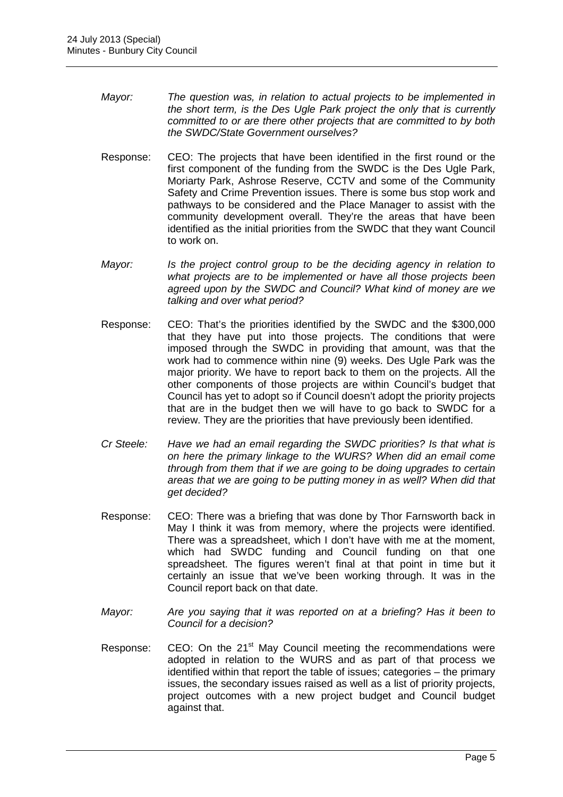- Mayor: The question was, in relation to actual projects to be implemented in the short term, is the Des Ugle Park project the only that is currently committed to or are there other projects that are committed to by both the SWDC/State Government ourselves?
- Response: CEO: The projects that have been identified in the first round or the first component of the funding from the SWDC is the Des Ugle Park, Moriarty Park, Ashrose Reserve, CCTV and some of the Community Safety and Crime Prevention issues. There is some bus stop work and pathways to be considered and the Place Manager to assist with the community development overall. They're the areas that have been identified as the initial priorities from the SWDC that they want Council to work on.
- Mayor: Is the project control group to be the deciding agency in relation to what projects are to be implemented or have all those projects been agreed upon by the SWDC and Council? What kind of money are we talking and over what period?
- Response: CEO: That's the priorities identified by the SWDC and the \$300,000 that they have put into those projects. The conditions that were imposed through the SWDC in providing that amount, was that the work had to commence within nine (9) weeks. Des Ugle Park was the major priority. We have to report back to them on the projects. All the other components of those projects are within Council's budget that Council has yet to adopt so if Council doesn't adopt the priority projects that are in the budget then we will have to go back to SWDC for a review. They are the priorities that have previously been identified.
- Cr Steele: Have we had an email regarding the SWDC priorities? Is that what is on here the primary linkage to the WURS? When did an email come through from them that if we are going to be doing upgrades to certain areas that we are going to be putting money in as well? When did that get decided?
- Response: CEO: There was a briefing that was done by Thor Farnsworth back in May I think it was from memory, where the projects were identified. There was a spreadsheet, which I don't have with me at the moment, which had SWDC funding and Council funding on that one spreadsheet. The figures weren't final at that point in time but it certainly an issue that we've been working through. It was in the Council report back on that date.
- Mayor: Are you saying that it was reported on at a briefing? Has it been to Council for a decision?
- Response: CEO: On the 21<sup>st</sup> May Council meeting the recommendations were adopted in relation to the WURS and as part of that process we identified within that report the table of issues; categories – the primary issues, the secondary issues raised as well as a list of priority projects, project outcomes with a new project budget and Council budget against that.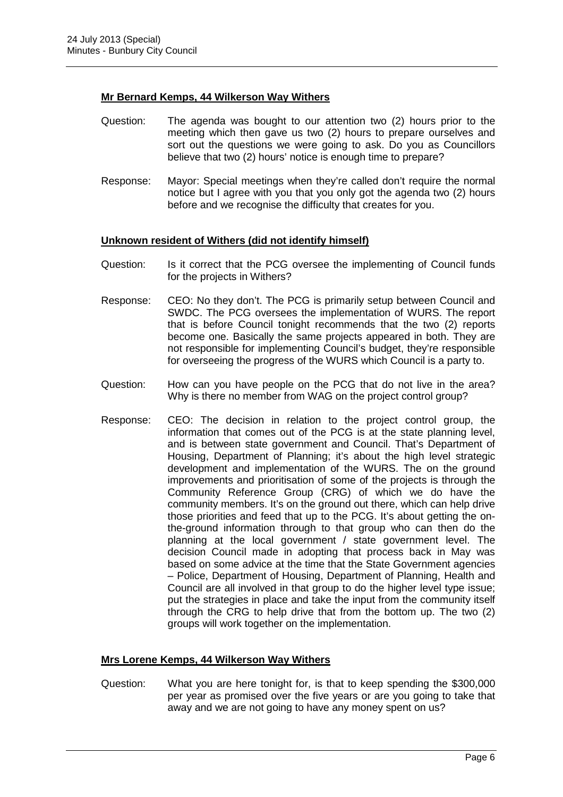#### **Mr Bernard Kemps, 44 Wilkerson Way Withers**

- Question: The agenda was bought to our attention two (2) hours prior to the meeting which then gave us two (2) hours to prepare ourselves and sort out the questions we were going to ask. Do you as Councillors believe that two (2) hours' notice is enough time to prepare?
- Response: Mayor: Special meetings when they're called don't require the normal notice but I agree with you that you only got the agenda two (2) hours before and we recognise the difficulty that creates for you.

#### **Unknown resident of Withers (did not identify himself)**

- Question: Is it correct that the PCG oversee the implementing of Council funds for the projects in Withers?
- Response: CEO: No they don't. The PCG is primarily setup between Council and SWDC. The PCG oversees the implementation of WURS. The report that is before Council tonight recommends that the two (2) reports become one. Basically the same projects appeared in both. They are not responsible for implementing Council's budget, they're responsible for overseeing the progress of the WURS which Council is a party to.
- Question: How can you have people on the PCG that do not live in the area? Why is there no member from WAG on the project control group?
- Response: CEO: The decision in relation to the project control group, the information that comes out of the PCG is at the state planning level, and is between state government and Council. That's Department of Housing, Department of Planning; it's about the high level strategic development and implementation of the WURS. The on the ground improvements and prioritisation of some of the projects is through the Community Reference Group (CRG) of which we do have the community members. It's on the ground out there, which can help drive those priorities and feed that up to the PCG. It's about getting the onthe-ground information through to that group who can then do the planning at the local government / state government level. The decision Council made in adopting that process back in May was based on some advice at the time that the State Government agencies – Police, Department of Housing, Department of Planning, Health and Council are all involved in that group to do the higher level type issue; put the strategies in place and take the input from the community itself through the CRG to help drive that from the bottom up. The two (2) groups will work together on the implementation.

#### **Mrs Lorene Kemps, 44 Wilkerson Way Withers**

Question: What you are here tonight for, is that to keep spending the \$300,000 per year as promised over the five years or are you going to take that away and we are not going to have any money spent on us?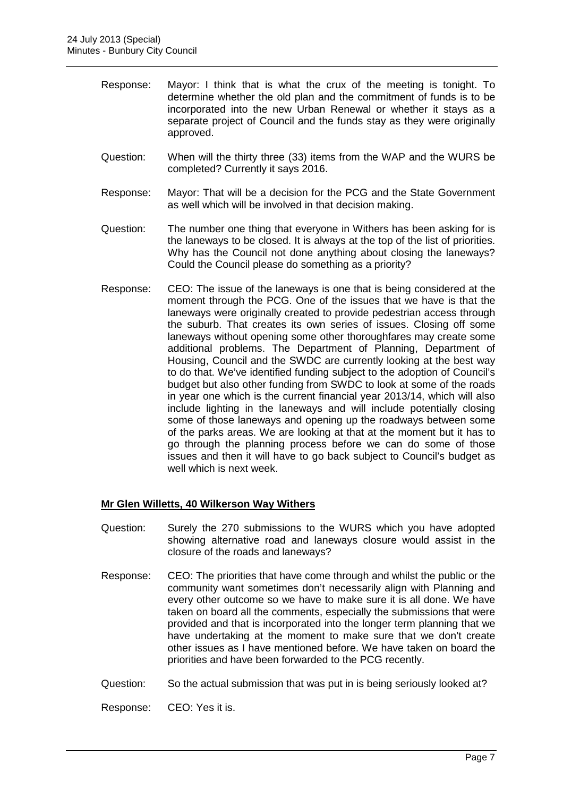- Response: Mayor: I think that is what the crux of the meeting is tonight. To determine whether the old plan and the commitment of funds is to be incorporated into the new Urban Renewal or whether it stays as a separate project of Council and the funds stay as they were originally approved.
- Question: When will the thirty three (33) items from the WAP and the WURS be completed? Currently it says 2016.
- Response: Mayor: That will be a decision for the PCG and the State Government as well which will be involved in that decision making.
- Question: The number one thing that everyone in Withers has been asking for is the laneways to be closed. It is always at the top of the list of priorities. Why has the Council not done anything about closing the laneways? Could the Council please do something as a priority?
- Response: CEO: The issue of the laneways is one that is being considered at the moment through the PCG. One of the issues that we have is that the laneways were originally created to provide pedestrian access through the suburb. That creates its own series of issues. Closing off some laneways without opening some other thoroughfares may create some additional problems. The Department of Planning, Department of Housing, Council and the SWDC are currently looking at the best way to do that. We've identified funding subject to the adoption of Council's budget but also other funding from SWDC to look at some of the roads in year one which is the current financial year 2013/14, which will also include lighting in the laneways and will include potentially closing some of those laneways and opening up the roadways between some of the parks areas. We are looking at that at the moment but it has to go through the planning process before we can do some of those issues and then it will have to go back subject to Council's budget as well which is next week.

#### **Mr Glen Willetts, 40 Wilkerson Way Withers**

- Question: Surely the 270 submissions to the WURS which you have adopted showing alternative road and laneways closure would assist in the closure of the roads and laneways?
- Response: CEO: The priorities that have come through and whilst the public or the community want sometimes don't necessarily align with Planning and every other outcome so we have to make sure it is all done. We have taken on board all the comments, especially the submissions that were provided and that is incorporated into the longer term planning that we have undertaking at the moment to make sure that we don't create other issues as I have mentioned before. We have taken on board the priorities and have been forwarded to the PCG recently.
- Question: So the actual submission that was put in is being seriously looked at?

Response: CEO: Yes it is.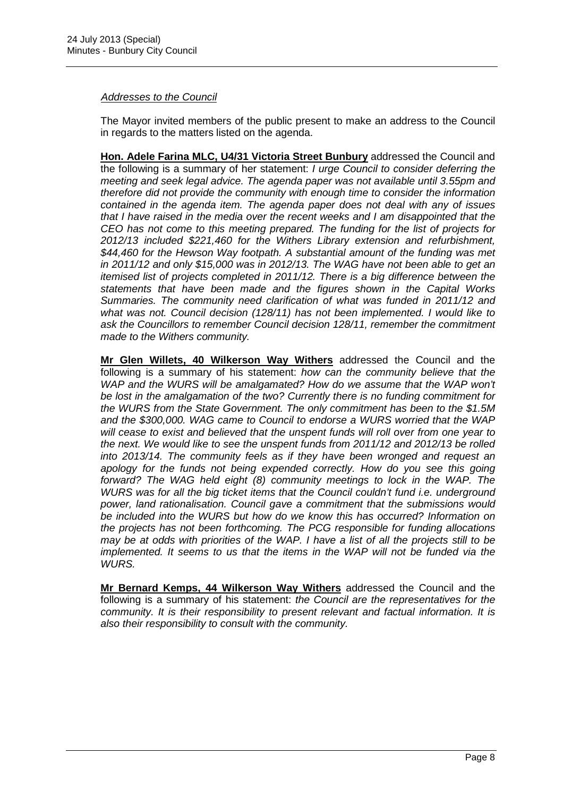#### Addresses to the Council

The Mayor invited members of the public present to make an address to the Council in regards to the matters listed on the agenda.

**Hon. Adele Farina MLC, U4/31 Victoria Street Bunbury** addressed the Council and the following is a summary of her statement: I urge Council to consider deferring the meeting and seek legal advice. The agenda paper was not available until 3.55pm and therefore did not provide the community with enough time to consider the information contained in the agenda item. The agenda paper does not deal with any of issues that I have raised in the media over the recent weeks and I am disappointed that the CEO has not come to this meeting prepared. The funding for the list of projects for 2012/13 included \$221,460 for the Withers Library extension and refurbishment, \$44,460 for the Hewson Way footpath. A substantial amount of the funding was met in 2011/12 and only \$15,000 was in 2012/13. The WAG have not been able to get an itemised list of projects completed in 2011/12. There is a big difference between the statements that have been made and the figures shown in the Capital Works Summaries. The community need clarification of what was funded in 2011/12 and what was not. Council decision (128/11) has not been implemented. I would like to ask the Councillors to remember Council decision 128/11, remember the commitment made to the Withers community.

**Mr Glen Willets, 40 Wilkerson Way Withers** addressed the Council and the following is a summary of his statement: how can the community believe that the WAP and the WURS will be amalgamated? How do we assume that the WAP won't be lost in the amalgamation of the two? Currently there is no funding commitment for the WURS from the State Government. The only commitment has been to the \$1.5M and the \$300,000. WAG came to Council to endorse a WURS worried that the WAP will cease to exist and believed that the unspent funds will roll over from one year to the next. We would like to see the unspent funds from 2011/12 and 2012/13 be rolled into 2013/14. The community feels as if they have been wronged and request an apology for the funds not being expended correctly. How do you see this going forward? The WAG held eight (8) community meetings to lock in the WAP. The WURS was for all the big ticket items that the Council couldn't fund i.e. underground power, land rationalisation. Council gave a commitment that the submissions would be included into the WURS but how do we know this has occurred? Information on the projects has not been forthcoming. The PCG responsible for funding allocations may be at odds with priorities of the WAP. I have a list of all the projects still to be implemented. It seems to us that the items in the WAP will not be funded via the WURS.

**Mr Bernard Kemps, 44 Wilkerson Way Withers** addressed the Council and the following is a summary of his statement: the Council are the representatives for the community. It is their responsibility to present relevant and factual information. It is also their responsibility to consult with the community.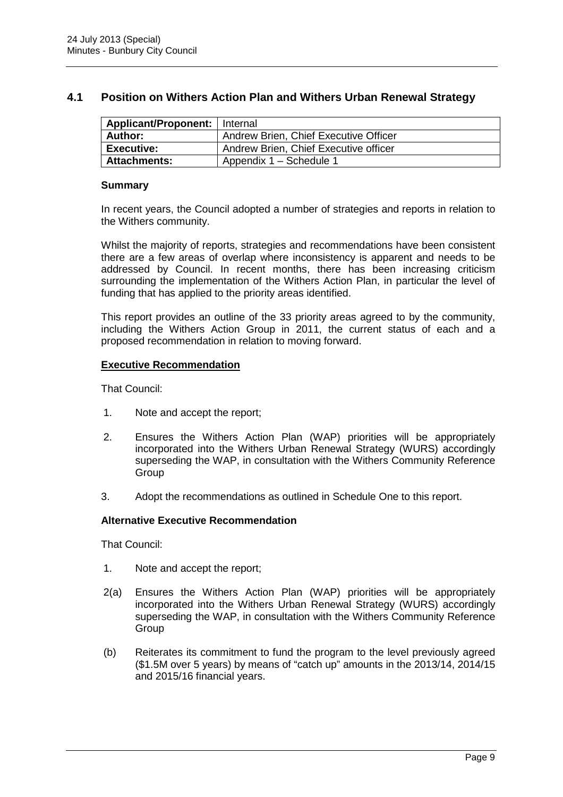#### **4.1 Position on Withers Action Plan and Withers Urban Renewal Strategy**

| Applicant/Proponent:   Internal |                                       |
|---------------------------------|---------------------------------------|
| Author:                         | Andrew Brien, Chief Executive Officer |
| <b>Executive:</b>               | Andrew Brien, Chief Executive officer |
| <b>Attachments:</b>             | Appendix 1 - Schedule 1               |

#### **Summary**

In recent years, the Council adopted a number of strategies and reports in relation to the Withers community.

Whilst the majority of reports, strategies and recommendations have been consistent there are a few areas of overlap where inconsistency is apparent and needs to be addressed by Council. In recent months, there has been increasing criticism surrounding the implementation of the Withers Action Plan, in particular the level of funding that has applied to the priority areas identified.

This report provides an outline of the 33 priority areas agreed to by the community, including the Withers Action Group in 2011, the current status of each and a proposed recommendation in relation to moving forward.

#### **Executive Recommendation**

That Council:

- 1. Note and accept the report;
- 2. Ensures the Withers Action Plan (WAP) priorities will be appropriately incorporated into the Withers Urban Renewal Strategy (WURS) accordingly superseding the WAP, in consultation with the Withers Community Reference **Group**
- 3. Adopt the recommendations as outlined in Schedule One to this report.

#### **Alternative Executive Recommendation**

That Council:

- 1. Note and accept the report;
- 2(a) Ensures the Withers Action Plan (WAP) priorities will be appropriately incorporated into the Withers Urban Renewal Strategy (WURS) accordingly superseding the WAP, in consultation with the Withers Community Reference **Group**
- (b) Reiterates its commitment to fund the program to the level previously agreed (\$1.5M over 5 years) by means of "catch up" amounts in the 2013/14, 2014/15 and 2015/16 financial years.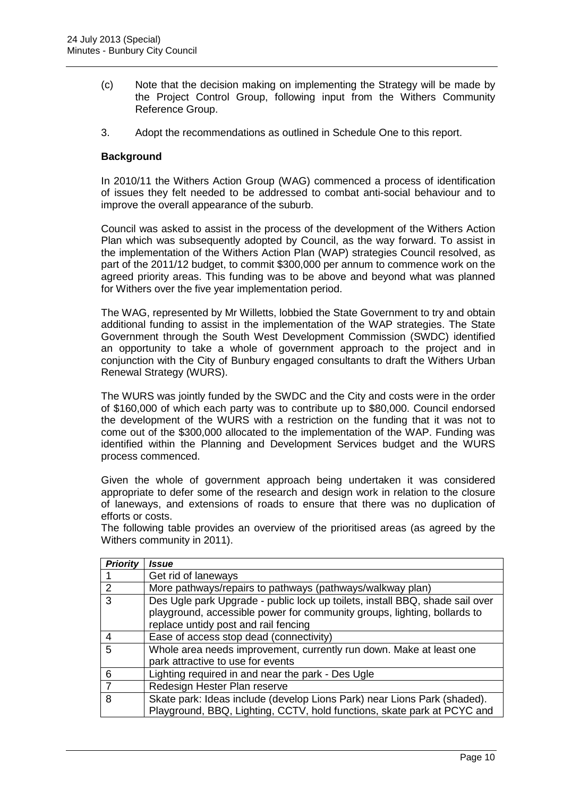- (c) Note that the decision making on implementing the Strategy will be made by the Project Control Group, following input from the Withers Community Reference Group.
- 3. Adopt the recommendations as outlined in Schedule One to this report.

#### **Background**

In 2010/11 the Withers Action Group (WAG) commenced a process of identification of issues they felt needed to be addressed to combat anti-social behaviour and to improve the overall appearance of the suburb.

Council was asked to assist in the process of the development of the Withers Action Plan which was subsequently adopted by Council, as the way forward. To assist in the implementation of the Withers Action Plan (WAP) strategies Council resolved, as part of the 2011/12 budget, to commit \$300,000 per annum to commence work on the agreed priority areas. This funding was to be above and beyond what was planned for Withers over the five year implementation period.

The WAG, represented by Mr Willetts, lobbied the State Government to try and obtain additional funding to assist in the implementation of the WAP strategies. The State Government through the South West Development Commission (SWDC) identified an opportunity to take a whole of government approach to the project and in conjunction with the City of Bunbury engaged consultants to draft the Withers Urban Renewal Strategy (WURS).

The WURS was jointly funded by the SWDC and the City and costs were in the order of \$160,000 of which each party was to contribute up to \$80,000. Council endorsed the development of the WURS with a restriction on the funding that it was not to come out of the \$300,000 allocated to the implementation of the WAP. Funding was identified within the Planning and Development Services budget and the WURS process commenced.

Given the whole of government approach being undertaken it was considered appropriate to defer some of the research and design work in relation to the closure of laneways, and extensions of roads to ensure that there was no duplication of efforts or costs.

The following table provides an overview of the prioritised areas (as agreed by the Withers community in 2011).

| <b>Priority</b> | <i><b>Issue</b></i>                                                                                                                                                                              |
|-----------------|--------------------------------------------------------------------------------------------------------------------------------------------------------------------------------------------------|
|                 | Get rid of laneways                                                                                                                                                                              |
| $\mathcal{P}$   | More pathways/repairs to pathways (pathways/walkway plan)                                                                                                                                        |
| 3               | Des Ugle park Upgrade - public lock up toilets, install BBQ, shade sail over<br>playground, accessible power for community groups, lighting, bollards to<br>replace untidy post and rail fencing |
| 4               | Ease of access stop dead (connectivity)                                                                                                                                                          |
| 5               | Whole area needs improvement, currently run down. Make at least one<br>park attractive to use for events                                                                                         |
| 6               | Lighting required in and near the park - Des Ugle                                                                                                                                                |
|                 | Redesign Hester Plan reserve                                                                                                                                                                     |
| 8               | Skate park: Ideas include (develop Lions Park) near Lions Park (shaded).<br>Playground, BBQ, Lighting, CCTV, hold functions, skate park at PCYC and                                              |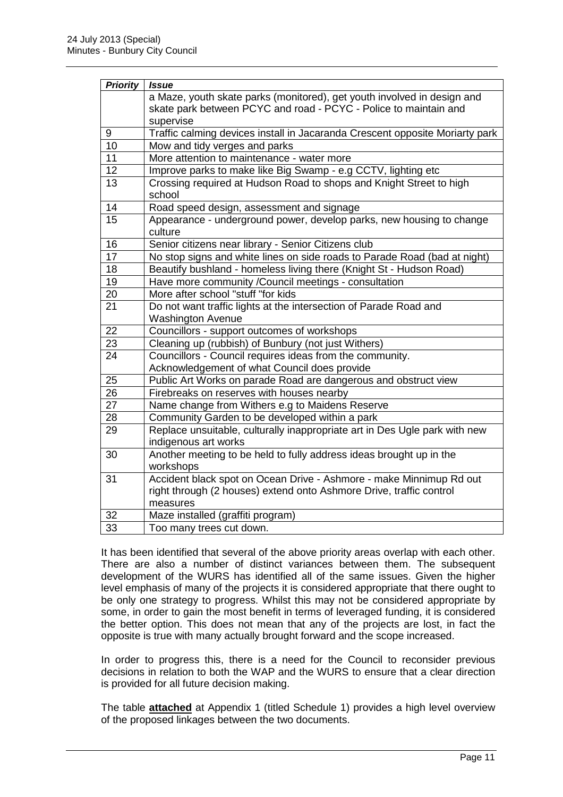| <b>Priority</b> | <b>Issue</b>                                                                    |
|-----------------|---------------------------------------------------------------------------------|
|                 | a Maze, youth skate parks (monitored), get youth involved in design and         |
|                 | skate park between PCYC and road - PCYC - Police to maintain and                |
|                 | supervise                                                                       |
| 9               | Traffic calming devices install in Jacaranda Crescent opposite Moriarty park    |
| 10              | Mow and tidy verges and parks                                                   |
| 11              | More attention to maintenance - water more                                      |
| 12              | Improve parks to make like Big Swamp - e.g CCTV, lighting etc                   |
| 13              | Crossing required at Hudson Road to shops and Knight Street to high<br>school   |
| 14              | Road speed design, assessment and signage                                       |
| 15              | Appearance - underground power, develop parks, new housing to change<br>culture |
| 16              | Senior citizens near library - Senior Citizens club                             |
| 17              | No stop signs and white lines on side roads to Parade Road (bad at night)       |
| 18              | Beautify bushland - homeless living there (Knight St - Hudson Road)             |
| 19              | Have more community /Council meetings - consultation                            |
| 20              | More after school "stuff "for kids                                              |
| 21              | Do not want traffic lights at the intersection of Parade Road and               |
|                 | <b>Washington Avenue</b>                                                        |
| 22              | Councillors - support outcomes of workshops                                     |
| 23              | Cleaning up (rubbish) of Bunbury (not just Withers)                             |
| 24              | Councillors - Council requires ideas from the community.                        |
|                 | Acknowledgement of what Council does provide                                    |
| 25              | Public Art Works on parade Road are dangerous and obstruct view                 |
| 26              | Firebreaks on reserves with houses nearby                                       |
| 27              | Name change from Withers e.g to Maidens Reserve                                 |
| 28              | Community Garden to be developed within a park                                  |
| 29              | Replace unsuitable, culturally inappropriate art in Des Ugle park with new      |
|                 | indigenous art works                                                            |
| 30              | Another meeting to be held to fully address ideas brought up in the             |
|                 | workshops                                                                       |
| 31              | Accident black spot on Ocean Drive - Ashmore - make Minnimup Rd out             |
|                 | right through (2 houses) extend onto Ashmore Drive, traffic control             |
|                 | measures                                                                        |
| 32              | Maze installed (graffiti program)                                               |
| $\overline{33}$ | Too many trees cut down.                                                        |

It has been identified that several of the above priority areas overlap with each other. There are also a number of distinct variances between them. The subsequent development of the WURS has identified all of the same issues. Given the higher level emphasis of many of the projects it is considered appropriate that there ought to be only one strategy to progress. Whilst this may not be considered appropriate by some, in order to gain the most benefit in terms of leveraged funding, it is considered the better option. This does not mean that any of the projects are lost, in fact the opposite is true with many actually brought forward and the scope increased.

In order to progress this, there is a need for the Council to reconsider previous decisions in relation to both the WAP and the WURS to ensure that a clear direction is provided for all future decision making.

The table **attached** at Appendix 1 (titled Schedule 1) provides a high level overview of the proposed linkages between the two documents.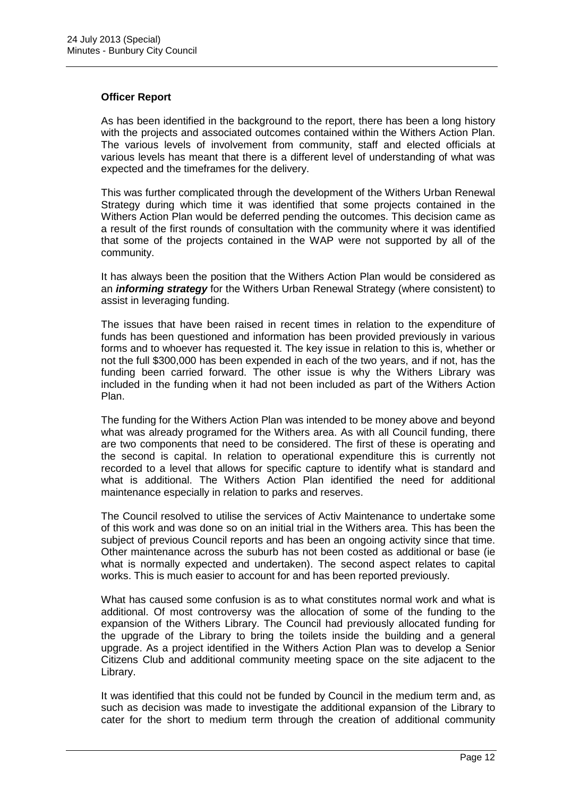#### **Officer Report**

As has been identified in the background to the report, there has been a long history with the projects and associated outcomes contained within the Withers Action Plan. The various levels of involvement from community, staff and elected officials at various levels has meant that there is a different level of understanding of what was expected and the timeframes for the delivery.

This was further complicated through the development of the Withers Urban Renewal Strategy during which time it was identified that some projects contained in the Withers Action Plan would be deferred pending the outcomes. This decision came as a result of the first rounds of consultation with the community where it was identified that some of the projects contained in the WAP were not supported by all of the community.

It has always been the position that the Withers Action Plan would be considered as an **informing strategy** for the Withers Urban Renewal Strategy (where consistent) to assist in leveraging funding.

The issues that have been raised in recent times in relation to the expenditure of funds has been questioned and information has been provided previously in various forms and to whoever has requested it. The key issue in relation to this is, whether or not the full \$300,000 has been expended in each of the two years, and if not, has the funding been carried forward. The other issue is why the Withers Library was included in the funding when it had not been included as part of the Withers Action Plan.

The funding for the Withers Action Plan was intended to be money above and beyond what was already programed for the Withers area. As with all Council funding, there are two components that need to be considered. The first of these is operating and the second is capital. In relation to operational expenditure this is currently not recorded to a level that allows for specific capture to identify what is standard and what is additional. The Withers Action Plan identified the need for additional maintenance especially in relation to parks and reserves.

The Council resolved to utilise the services of Activ Maintenance to undertake some of this work and was done so on an initial trial in the Withers area. This has been the subject of previous Council reports and has been an ongoing activity since that time. Other maintenance across the suburb has not been costed as additional or base (ie what is normally expected and undertaken). The second aspect relates to capital works. This is much easier to account for and has been reported previously.

What has caused some confusion is as to what constitutes normal work and what is additional. Of most controversy was the allocation of some of the funding to the expansion of the Withers Library. The Council had previously allocated funding for the upgrade of the Library to bring the toilets inside the building and a general upgrade. As a project identified in the Withers Action Plan was to develop a Senior Citizens Club and additional community meeting space on the site adjacent to the Library.

It was identified that this could not be funded by Council in the medium term and, as such as decision was made to investigate the additional expansion of the Library to cater for the short to medium term through the creation of additional community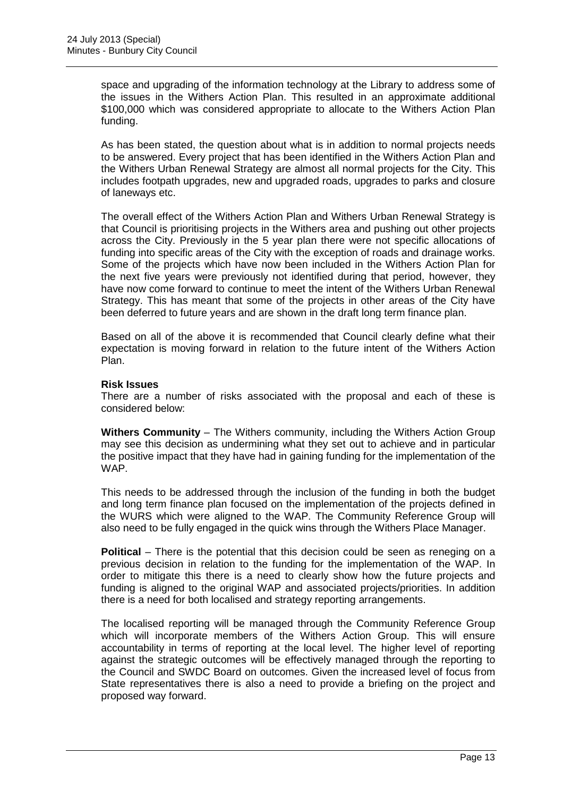space and upgrading of the information technology at the Library to address some of the issues in the Withers Action Plan. This resulted in an approximate additional \$100,000 which was considered appropriate to allocate to the Withers Action Plan funding.

As has been stated, the question about what is in addition to normal projects needs to be answered. Every project that has been identified in the Withers Action Plan and the Withers Urban Renewal Strategy are almost all normal projects for the City. This includes footpath upgrades, new and upgraded roads, upgrades to parks and closure of laneways etc.

The overall effect of the Withers Action Plan and Withers Urban Renewal Strategy is that Council is prioritising projects in the Withers area and pushing out other projects across the City. Previously in the 5 year plan there were not specific allocations of funding into specific areas of the City with the exception of roads and drainage works. Some of the projects which have now been included in the Withers Action Plan for the next five years were previously not identified during that period, however, they have now come forward to continue to meet the intent of the Withers Urban Renewal Strategy. This has meant that some of the projects in other areas of the City have been deferred to future years and are shown in the draft long term finance plan.

Based on all of the above it is recommended that Council clearly define what their expectation is moving forward in relation to the future intent of the Withers Action Plan.

#### **Risk Issues**

There are a number of risks associated with the proposal and each of these is considered below:

**Withers Community** – The Withers community, including the Withers Action Group may see this decision as undermining what they set out to achieve and in particular the positive impact that they have had in gaining funding for the implementation of the WAP.

This needs to be addressed through the inclusion of the funding in both the budget and long term finance plan focused on the implementation of the projects defined in the WURS which were aligned to the WAP. The Community Reference Group will also need to be fully engaged in the quick wins through the Withers Place Manager.

**Political** – There is the potential that this decision could be seen as reneging on a previous decision in relation to the funding for the implementation of the WAP. In order to mitigate this there is a need to clearly show how the future projects and funding is aligned to the original WAP and associated projects/priorities. In addition there is a need for both localised and strategy reporting arrangements.

The localised reporting will be managed through the Community Reference Group which will incorporate members of the Withers Action Group. This will ensure accountability in terms of reporting at the local level. The higher level of reporting against the strategic outcomes will be effectively managed through the reporting to the Council and SWDC Board on outcomes. Given the increased level of focus from State representatives there is also a need to provide a briefing on the project and proposed way forward.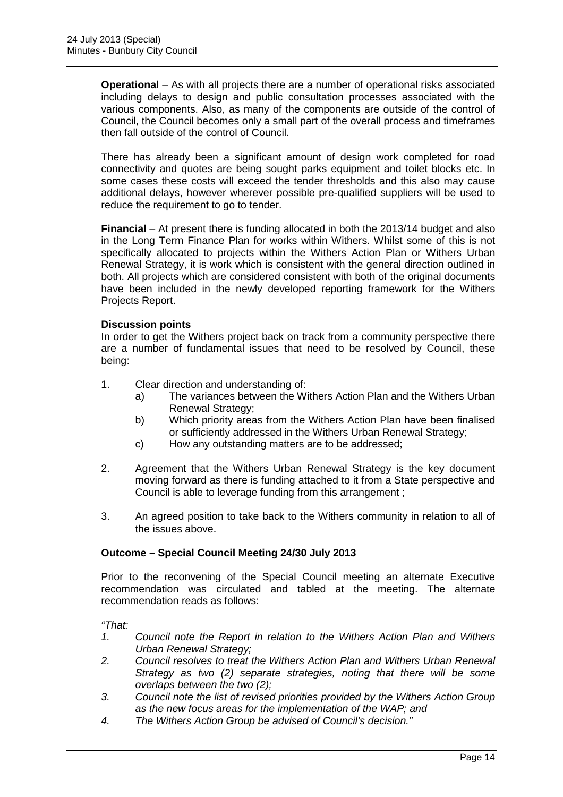**Operational** – As with all projects there are a number of operational risks associated including delays to design and public consultation processes associated with the various components. Also, as many of the components are outside of the control of Council, the Council becomes only a small part of the overall process and timeframes then fall outside of the control of Council.

There has already been a significant amount of design work completed for road connectivity and quotes are being sought parks equipment and toilet blocks etc. In some cases these costs will exceed the tender thresholds and this also may cause additional delays, however wherever possible pre-qualified suppliers will be used to reduce the requirement to go to tender.

**Financial** – At present there is funding allocated in both the 2013/14 budget and also in the Long Term Finance Plan for works within Withers. Whilst some of this is not specifically allocated to projects within the Withers Action Plan or Withers Urban Renewal Strategy, it is work which is consistent with the general direction outlined in both. All projects which are considered consistent with both of the original documents have been included in the newly developed reporting framework for the Withers Projects Report.

#### **Discussion points**

In order to get the Withers project back on track from a community perspective there are a number of fundamental issues that need to be resolved by Council, these being:

- 1. Clear direction and understanding of:
	- a) The variances between the Withers Action Plan and the Withers Urban Renewal Strategy;
	- b) Which priority areas from the Withers Action Plan have been finalised or sufficiently addressed in the Withers Urban Renewal Strategy;
	- c) How any outstanding matters are to be addressed;
- 2. Agreement that the Withers Urban Renewal Strategy is the key document moving forward as there is funding attached to it from a State perspective and Council is able to leverage funding from this arrangement ;
- 3. An agreed position to take back to the Withers community in relation to all of the issues above.

#### **Outcome – Special Council Meeting 24/30 July 2013**

Prior to the reconvening of the Special Council meeting an alternate Executive recommendation was circulated and tabled at the meeting. The alternate recommendation reads as follows:

"That:

- 1. Council note the Report in relation to the Withers Action Plan and Withers Urban Renewal Strategy;
- 2. Council resolves to treat the Withers Action Plan and Withers Urban Renewal Strategy as two (2) separate strategies, noting that there will be some overlaps between the two (2);
- 3. Council note the list of revised priorities provided by the Withers Action Group as the new focus areas for the implementation of the WAP; and
- 4. The Withers Action Group be advised of Council's decision."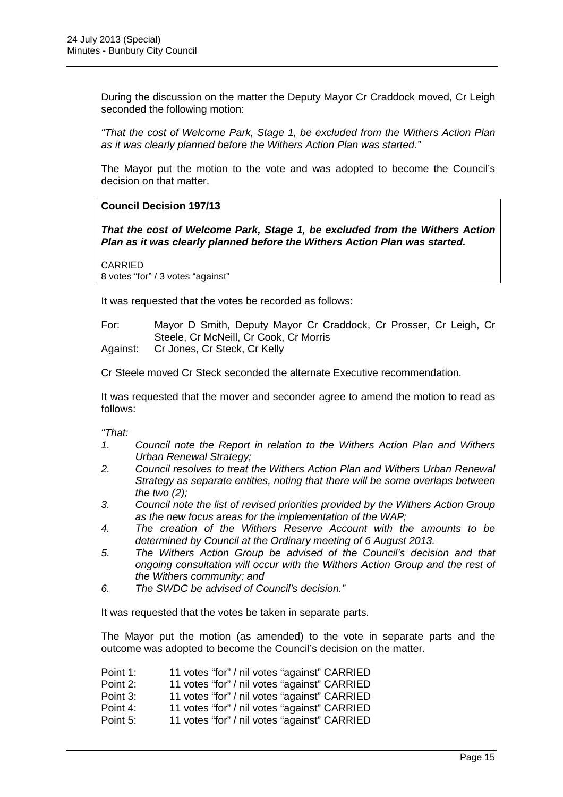During the discussion on the matter the Deputy Mayor Cr Craddock moved, Cr Leigh seconded the following motion:

"That the cost of Welcome Park, Stage 1, be excluded from the Withers Action Plan as it was clearly planned before the Withers Action Plan was started."

The Mayor put the motion to the vote and was adopted to become the Council's decision on that matter.

#### **Council Decision 197/13**

**That the cost of Welcome Park, Stage 1, be excluded from the Withers Action Plan as it was clearly planned before the Withers Action Plan was started.** 

CARRIED 8 votes "for" / 3 votes "against"

It was requested that the votes be recorded as follows:

For: Mayor D Smith, Deputy Mayor Cr Craddock, Cr Prosser, Cr Leigh, Cr Steele, Cr McNeill, Cr Cook, Cr Morris Against: Cr Jones, Cr Steck, Cr Kelly

Cr Steele moved Cr Steck seconded the alternate Executive recommendation.

It was requested that the mover and seconder agree to amend the motion to read as follows:

"That:

- 1. Council note the Report in relation to the Withers Action Plan and Withers Urban Renewal Strategy;
- 2. Council resolves to treat the Withers Action Plan and Withers Urban Renewal Strategy as separate entities, noting that there will be some overlaps between the two  $(2)$ :
- 3. Council note the list of revised priorities provided by the Withers Action Group as the new focus areas for the implementation of the WAP;
- 4. The creation of the Withers Reserve Account with the amounts to be determined by Council at the Ordinary meeting of 6 August 2013.
- 5. The Withers Action Group be advised of the Council's decision and that ongoing consultation will occur with the Withers Action Group and the rest of the Withers community; and
- 6. The SWDC be advised of Council's decision."

It was requested that the votes be taken in separate parts.

The Mayor put the motion (as amended) to the vote in separate parts and the outcome was adopted to become the Council's decision on the matter.

| Point 1: | 11 votes "for" / nil votes "against" CARRIED |
|----------|----------------------------------------------|
| Point 2: | 11 votes "for" / nil votes "against" CARRIED |
| Point 3: | 11 votes "for" / nil votes "against" CARRIED |
| Point 4: | 11 votes "for" / nil votes "against" CARRIED |
| Point 5: | 11 votes "for" / nil votes "against" CARRIED |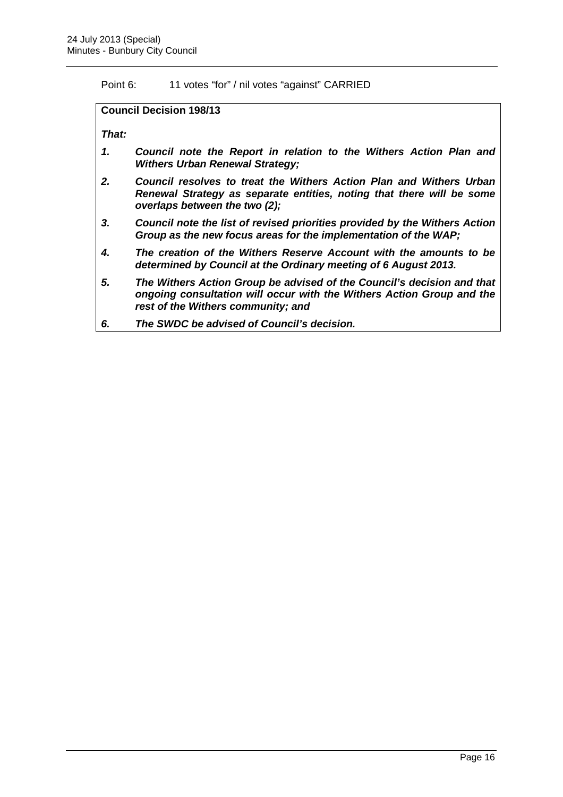Point 6: 11 votes "for" / nil votes "against" CARRIED

**Council Decision 198/13** 

**That:** 

- **1. Council note the Report in relation to the Withers Action Plan and Withers Urban Renewal Strategy;**
- **2. Council resolves to treat the Withers Action Plan and Withers Urban Renewal Strategy as separate entities, noting that there will be some overlaps between the two (2);**
- **3. Council note the list of revised priorities provided by the Withers Action Group as the new focus areas for the implementation of the WAP;**
- **4. The creation of the Withers Reserve Account with the amounts to be determined by Council at the Ordinary meeting of 6 August 2013.**
- **5. The Withers Action Group be advised of the Council's decision and that ongoing consultation will occur with the Withers Action Group and the rest of the Withers community; and**
- **6. The SWDC be advised of Council's decision.**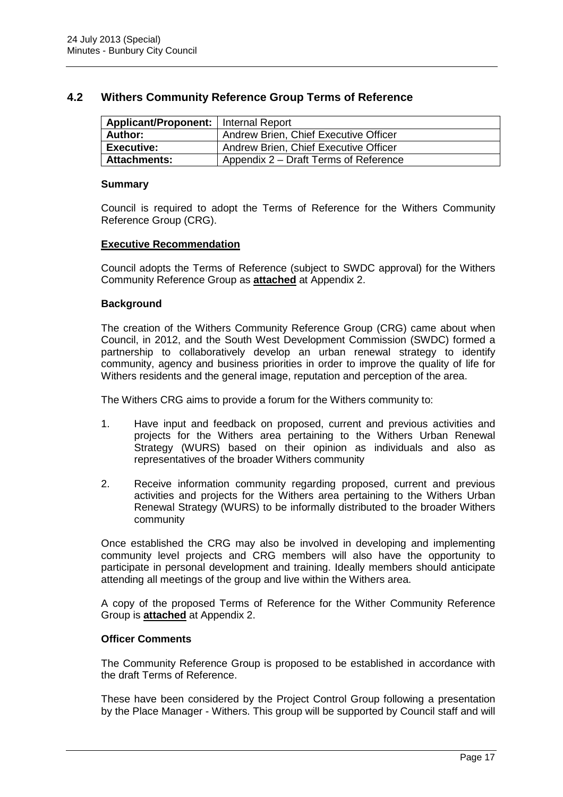### **4.2 Withers Community Reference Group Terms of Reference**

| Applicant/Proponent:   Internal Report |                                       |
|----------------------------------------|---------------------------------------|
| Author:                                | Andrew Brien, Chief Executive Officer |
| <b>Executive:</b>                      | Andrew Brien, Chief Executive Officer |
| <b>Attachments:</b>                    | Appendix 2 – Draft Terms of Reference |

#### **Summary**

Council is required to adopt the Terms of Reference for the Withers Community Reference Group (CRG).

#### **Executive Recommendation**

Council adopts the Terms of Reference (subject to SWDC approval) for the Withers Community Reference Group as **attached** at Appendix 2.

#### **Background**

The creation of the Withers Community Reference Group (CRG) came about when Council, in 2012, and the South West Development Commission (SWDC) formed a partnership to collaboratively develop an urban renewal strategy to identify community, agency and business priorities in order to improve the quality of life for Withers residents and the general image, reputation and perception of the area.

The Withers CRG aims to provide a forum for the Withers community to:

- 1. Have input and feedback on proposed, current and previous activities and projects for the Withers area pertaining to the Withers Urban Renewal Strategy (WURS) based on their opinion as individuals and also as representatives of the broader Withers community
- 2. Receive information community regarding proposed, current and previous activities and projects for the Withers area pertaining to the Withers Urban Renewal Strategy (WURS) to be informally distributed to the broader Withers community

Once established the CRG may also be involved in developing and implementing community level projects and CRG members will also have the opportunity to participate in personal development and training. Ideally members should anticipate attending all meetings of the group and live within the Withers area.

A copy of the proposed Terms of Reference for the Wither Community Reference Group is **attached** at Appendix 2.

#### **Officer Comments**

The Community Reference Group is proposed to be established in accordance with the draft Terms of Reference.

These have been considered by the Project Control Group following a presentation by the Place Manager - Withers. This group will be supported by Council staff and will